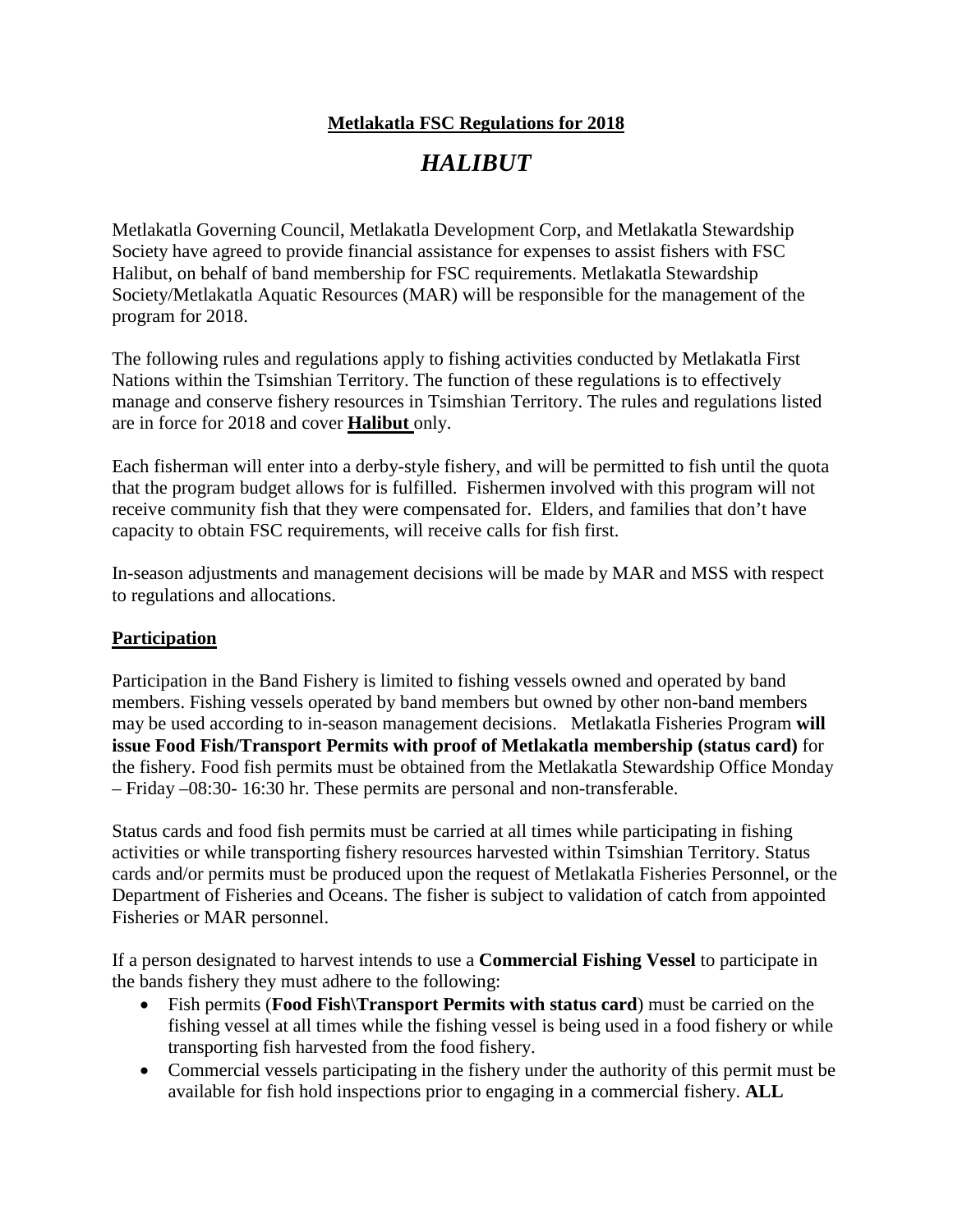## **Metlakatla FSC Regulations for 2018**

# *HALIBUT*

Metlakatla Governing Council, Metlakatla Development Corp, and Metlakatla Stewardship Society have agreed to provide financial assistance for expenses to assist fishers with FSC Halibut, on behalf of band membership for FSC requirements. Metlakatla Stewardship Society/Metlakatla Aquatic Resources (MAR) will be responsible for the management of the program for 2018.

The following rules and regulations apply to fishing activities conducted by Metlakatla First Nations within the Tsimshian Territory. The function of these regulations is to effectively manage and conserve fishery resources in Tsimshian Territory. The rules and regulations listed are in force for 2018 and cover **Halibut** only.

Each fisherman will enter into a derby-style fishery, and will be permitted to fish until the quota that the program budget allows for is fulfilled. Fishermen involved with this program will not receive community fish that they were compensated for. Elders, and families that don't have capacity to obtain FSC requirements, will receive calls for fish first.

In-season adjustments and management decisions will be made by MAR and MSS with respect to regulations and allocations.

## **Participation**

Participation in the Band Fishery is limited to fishing vessels owned and operated by band members. Fishing vessels operated by band members but owned by other non-band members may be used according to in-season management decisions. Metlakatla Fisheries Program **will issue Food Fish/Transport Permits with proof of Metlakatla membership (status card)** for the fishery. Food fish permits must be obtained from the Metlakatla Stewardship Office Monday – Friday –08:30- 16:30 hr. These permits are personal and non-transferable.

Status cards and food fish permits must be carried at all times while participating in fishing activities or while transporting fishery resources harvested within Tsimshian Territory. Status cards and/or permits must be produced upon the request of Metlakatla Fisheries Personnel, or the Department of Fisheries and Oceans. The fisher is subject to validation of catch from appointed Fisheries or MAR personnel.

If a person designated to harvest intends to use a **Commercial Fishing Vessel** to participate in the bands fishery they must adhere to the following:

- Fish permits (**Food Fish\Transport Permits with status card**) must be carried on the fishing vessel at all times while the fishing vessel is being used in a food fishery or while transporting fish harvested from the food fishery.
- Commercial vessels participating in the fishery under the authority of this permit must be available for fish hold inspections prior to engaging in a commercial fishery. **ALL**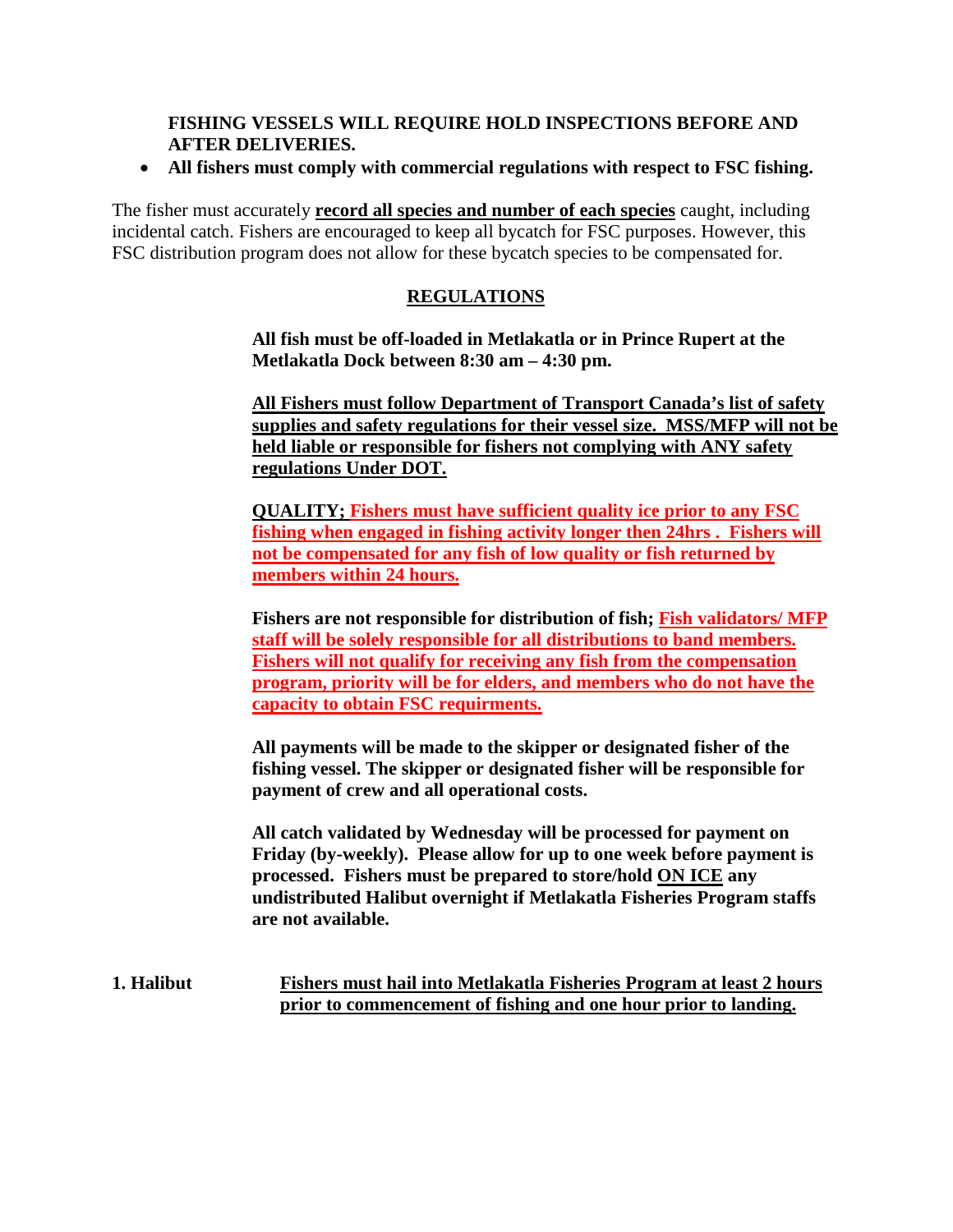#### **FISHING VESSELS WILL REQUIRE HOLD INSPECTIONS BEFORE AND AFTER DELIVERIES.**

#### • **All fishers must comply with commercial regulations with respect to FSC fishing.**

The fisher must accurately **record all species and number of each species** caught, including incidental catch. Fishers are encouraged to keep all bycatch for FSC purposes. However, this FSC distribution program does not allow for these bycatch species to be compensated for.

### **REGULATIONS**

**All fish must be off-loaded in Metlakatla or in Prince Rupert at the Metlakatla Dock between 8:30 am – 4:30 pm.**

**All Fishers must follow Department of Transport Canada's list of safety supplies and safety regulations for their vessel size. MSS/MFP will not be held liable or responsible for fishers not complying with ANY safety regulations Under DOT.** 

**QUALITY; Fishers must have sufficient quality ice prior to any FSC fishing when engaged in fishing activity longer then 24hrs . Fishers will not be compensated for any fish of low quality or fish returned by members within 24 hours.**

**Fishers are not responsible for distribution of fish; Fish validators/ MFP staff will be solely responsible for all distributions to band members. Fishers will not qualify for receiving any fish from the compensation program, priority will be for elders, and members who do not have the capacity to obtain FSC requirments.**

**All payments will be made to the skipper or designated fisher of the fishing vessel. The skipper or designated fisher will be responsible for payment of crew and all operational costs.** 

**All catch validated by Wednesday will be processed for payment on Friday (by-weekly). Please allow for up to one week before payment is processed. Fishers must be prepared to store/hold ON ICE any undistributed Halibut overnight if Metlakatla Fisheries Program staffs are not available.**

**1. Halibut Fishers must hail into Metlakatla Fisheries Program at least 2 hours prior to commencement of fishing and one hour prior to landing.**